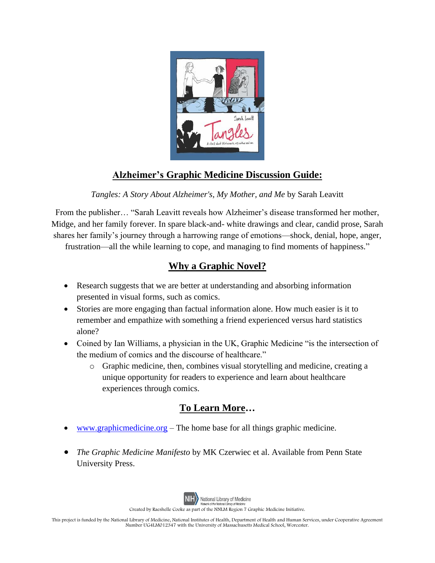

## **Alzheimer's Graphic Medicine Discussion Guide:**

*Tangles: A Story About Alzheimer's, My Mother, and Me* by Sarah Leavitt

From the publisher… "Sarah Leavitt reveals how Alzheimer's disease transformed her mother, Midge, and her family forever. In spare black-and- white drawings and clear, candid prose, Sarah shares her family's journey through a harrowing range of emotions—shock, denial, hope, anger,

frustration—all the while learning to cope, and managing to find moments of happiness."

## **Why a Graphic Novel?**

- Research suggests that we are better at understanding and absorbing information presented in visual forms, such as comics.
- Stories are more engaging than factual information alone. How much easier is it to remember and empathize with something a friend experienced versus hard statistics alone?
- Coined by Ian Williams, a physician in the UK, Graphic Medicine "is the intersection of the medium of comics and the discourse of healthcare."
	- o Graphic medicine, then, combines visual storytelling and medicine, creating a unique opportunity for readers to experience and learn about healthcare experiences through comics.

## **To Learn More…**

- [www.graphicmedicine.org](http://www.graphicmedicine.org/) The home base for all things graphic medicine.
- *The Graphic Medicine Manifesto* by MK Czerwiec et al. Available from Penn State University Press.



Created by Raeshelle Cooke as part of the NNLM Region 7 Graphic Medicine Initiative.

This project is funded by the National Library of Medicine, National Institutes of Health, Department of Health and Human Services, under Cooperative Agreement Number UG4LM012347 with the University of Massachusetts Medical School, Worcester.